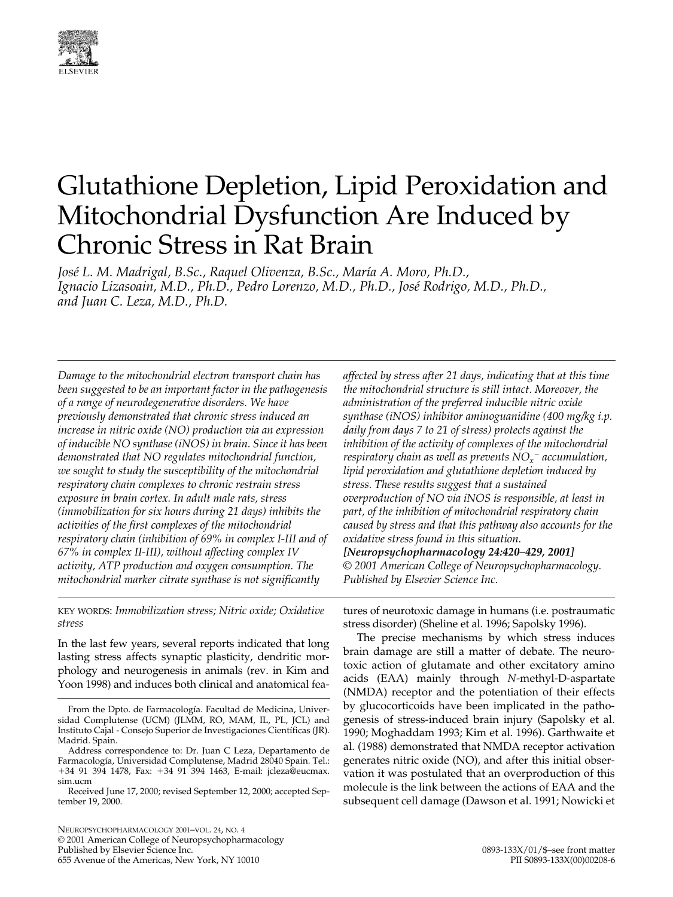

# Glutathione Depletion, Lipid Peroxidation and Mitochondrial Dysfunction Are Induced by Chronic Stress in Rat Brain

*José L. M. Madrigal, B.Sc., Raquel Olivenza, B.Sc., María A. Moro, Ph.D., Ignacio Lizasoain, M.D., Ph.D., Pedro Lorenzo, M.D., Ph.D., José Rodrigo, M.D., Ph.D., and Juan C. Leza, M.D., Ph.D.*

*Damage to the mitochondrial electron transport chain has been suggested to be an important factor in the pathogenesis of a range of neurodegenerative disorders. We have previously demonstrated that chronic stress induced an increase in nitric oxide (NO) production via an expression of inducible NO synthase (iNOS) in brain. Since it has been demonstrated that NO regulates mitochondrial function, we sought to study the susceptibility of the mitochondrial respiratory chain complexes to chronic restrain stress exposure in brain cortex. In adult male rats, stress (immobilization for six hours during 21 days) inhibits the activities of the first complexes of the mitochondrial respiratory chain (inhibition of 69% in complex I-III and of 67% in complex II-III), without affecting complex IV activity, ATP production and oxygen consumption. The mitochondrial marker citrate synthase is not significantly* 

KEY WORDS: *Immobilization stress; Nitric oxide; Oxidative stress*

In the last few years, several reports indicated that long lasting stress affects synaptic plasticity, dendritic morphology and neurogenesis in animals (rev. in Kim and Yoon 1998) and induces both clinical and anatomical fea-

NEUROPSYCHOPHARMACOLOGY 2001–VOL. 24, NO. 4 © 2001 American College of Neuropsychopharmacology Published by Elsevier Science Inc. The Contemporary of the Americas, New York, NY 10010 (1893-133X/01/\$–see front matter of the Americas, New York, NY 10010 (1893-133X/00)00208-6 655 Avenue of the Americas, New York, NY 10010

*affected by stress after 21 days, indicating that at this time the mitochondrial structure is still intact. Moreover, the administration of the preferred inducible nitric oxide synthase (iNOS) inhibitor aminoguanidine (400 mg/kg i.p. daily from days 7 to 21 of stress) protects against the inhibition of the activity of complexes of the mitochondrial respiratory chain as well as prevents NOx* <sup>2</sup> *accumulation, lipid peroxidation and glutathione depletion induced by stress. These results suggest that a sustained overproduction of NO via iNOS is responsible, at least in part, of the inhibition of mitochondrial respiratory chain caused by stress and that this pathway also accounts for the oxidative stress found in this situation. [Neuropsychopharmacology 24:420–429, 2001]*

*© 2001 American College of Neuropsychopharmacology. Published by Elsevier Science Inc.*

tures of neurotoxic damage in humans (i.e. postraumatic stress disorder) (Sheline et al. 1996; Sapolsky 1996).

The precise mechanisms by which stress induces brain damage are still a matter of debate. The neurotoxic action of glutamate and other excitatory amino acids (EAA) mainly through *N*-methyl-D-aspartate (NMDA) receptor and the potentiation of their effects by glucocorticoids have been implicated in the pathogenesis of stress-induced brain injury (Sapolsky et al. 1990; Moghaddam 1993; Kim et al. 1996). Garthwaite et al. (1988) demonstrated that NMDA receptor activation generates nitric oxide (NO), and after this initial observation it was postulated that an overproduction of this molecule is the link between the actions of EAA and the subsequent cell damage (Dawson et al. 1991; Nowicki et

From the Dpto. de Farmacología. Facultad de Medicina, Universidad Complutense (UCM) (JLMM, RO, MAM, IL, PL, JCL) and Instituto Cajal - Consejo Superior de Investigaciones Científicas (JR). Madrid. Spain.

Address correspondence to: Dr. Juan C Leza, Departamento de Farmacología, Universidad Complutense, Madrid 28040 Spain. Tel.: +34 91 394 1478, Fax: +34 91 394 1463, E-mail: jcleza@eucmax. sim.ucm

Received June 17, 2000; revised September 12, 2000; accepted September 19, 2000.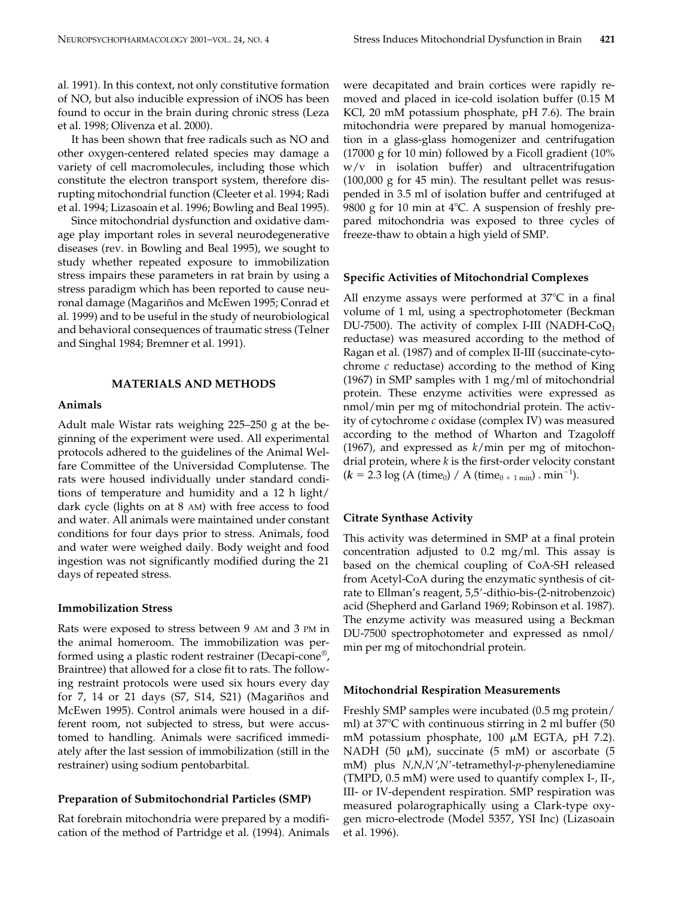al. 1991). In this context, not only constitutive formation of NO, but also inducible expression of iNOS has been found to occur in the brain during chronic stress (Leza et al. 1998; Olivenza et al. 2000).

It has been shown that free radicals such as NO and other oxygen-centered related species may damage a variety of cell macromolecules, including those which constitute the electron transport system, therefore disrupting mitochondrial function (Cleeter et al. 1994; Radi et al. 1994; Lizasoain et al. 1996; Bowling and Beal 1995).

Since mitochondrial dysfunction and oxidative damage play important roles in several neurodegenerative diseases (rev. in Bowling and Beal 1995), we sought to study whether repeated exposure to immobilization stress impairs these parameters in rat brain by using a stress paradigm which has been reported to cause neuronal damage (Magariños and McEwen 1995; Conrad et al. 1999) and to be useful in the study of neurobiological and behavioral consequences of traumatic stress (Telner and Singhal 1984; Bremner et al. 1991).

## **MATERIALS AND METHODS**

## **Animals**

Adult male Wistar rats weighing 225–250 g at the beginning of the experiment were used. All experimental protocols adhered to the guidelines of the Animal Welfare Committee of the Universidad Complutense. The rats were housed individually under standard conditions of temperature and humidity and a 12 h light/ dark cycle (lights on at 8 AM) with free access to food and water. All animals were maintained under constant conditions for four days prior to stress. Animals, food and water were weighed daily. Body weight and food ingestion was not significantly modified during the 21 days of repeated stress.

## **Immobilization Stress**

Rats were exposed to stress between 9 AM and 3 PM in the animal homeroom. The immobilization was performed using a plastic rodent restrainer (Decapi-cone®, Braintree) that allowed for a close fit to rats. The following restraint protocols were used six hours every day for 7, 14 or 21 days (S7, S14, S21) (Magariños and McEwen 1995). Control animals were housed in a different room, not subjected to stress, but were accustomed to handling. Animals were sacrificed immediately after the last session of immobilization (still in the restrainer) using sodium pentobarbital.

#### **Preparation of Submitochondrial Particles (SMP)**

Rat forebrain mitochondria were prepared by a modification of the method of Partridge et al. (1994). Animals were decapitated and brain cortices were rapidly removed and placed in ice-cold isolation buffer (0.15 M KCl, 20 mM potassium phosphate, pH 7.6). The brain mitochondria were prepared by manual homogenization in a glass-glass homogenizer and centrifugation (17000 g for 10 min) followed by a Ficoll gradient (10% w/v in isolation buffer) and ultracentrifugation (100,000 g for 45 min). The resultant pellet was resuspended in 3.5 ml of isolation buffer and centrifuged at 9800 g for 10 min at  $4^{\circ}$ C. A suspension of freshly prepared mitochondria was exposed to three cycles of freeze-thaw to obtain a high yield of SMP.

## **Specific Activities of Mitochondrial Complexes**

All enzyme assays were performed at  $37^{\circ}$ C in a final volume of 1 ml, using a spectrophotometer (Beckman DU-7500). The activity of complex I-III (NADH-Co $Q_1$ ) reductase) was measured according to the method of Ragan et al. (1987) and of complex II-III (succinate-cytochrome *c* reductase) according to the method of King (1967) in SMP samples with 1 mg/ml of mitochondrial protein. These enzyme activities were expressed as nmol/min per mg of mitochondrial protein. The activity of cytochrome *c* oxidase (complex IV) was measured according to the method of Wharton and Tzagoloff (1967), and expressed as *k*/min per mg of mitochondrial protein, where *k* is the first-order velocity constant  $(k = 2.3 \log (A \text{ (time<sub>0</sub>) } / A \text{ (time<sub>0 + 1 min</sub>) } . min<sup>-1</sup>).$ 

## **Citrate Synthase Activity**

This activity was determined in SMP at a final protein concentration adjusted to 0.2 mg/ml. This assay is based on the chemical coupling of CoA-SH released from Acetyl-CoA during the enzymatic synthesis of citrate to Ellman's reagent, 5,5'-dithio-bis-(2-nitrobenzoic) acid (Shepherd and Garland 1969; Robinson et al. 1987). The enzyme activity was measured using a Beckman DU-7500 spectrophotometer and expressed as nmol/ min per mg of mitochondrial protein.

## **Mitochondrial Respiration Measurements**

Freshly SMP samples were incubated (0.5 mg protein/ ml) at  $37^{\circ}$ C with continuous stirring in 2 ml buffer (50 mM potassium phosphate,  $100 \mu M$  EGTA, pH 7.2). NADH (50  $\mu$ M), succinate (5 mM) or ascorbate (5 mM) plus *N,N,N*9,*N*9-tetramethyl-*p*-phenylenediamine (TMPD, 0.5 mM) were used to quantify complex I-, II-, III- or IV-dependent respiration. SMP respiration was measured polarographically using a Clark-type oxygen micro-electrode (Model 5357, YSI Inc) (Lizasoain et al. 1996).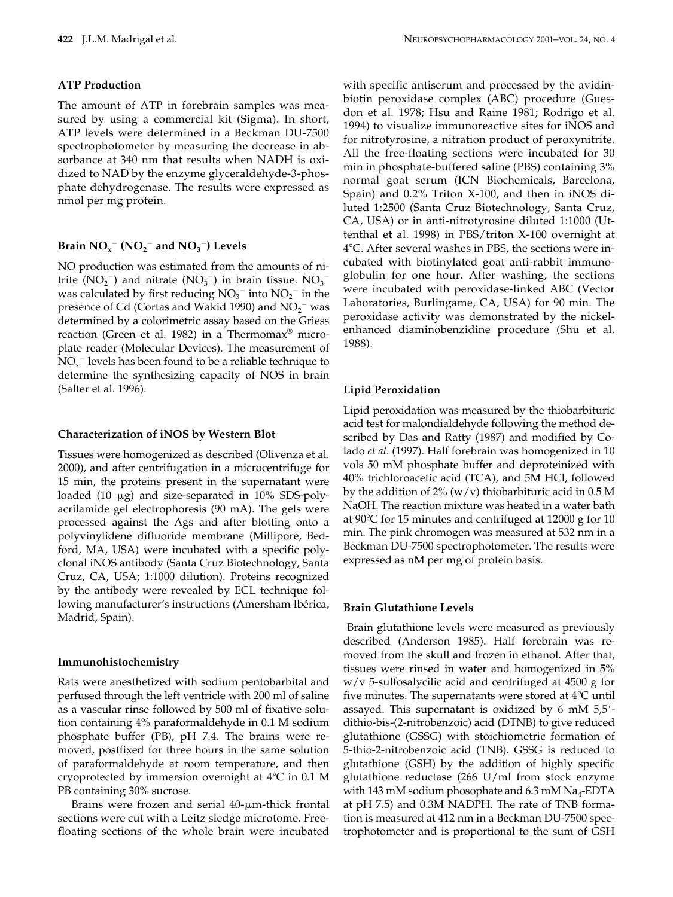## **ATP Production**

The amount of ATP in forebrain samples was measured by using a commercial kit (Sigma). In short, ATP levels were determined in a Beckman DU-7500 spectrophotometer by measuring the decrease in absorbance at 340 nm that results when NADH is oxidized to NAD by the enzyme glyceraldehyde-3-phosphate dehydrogenase. The results were expressed as nmol per mg protein.

# **Brain NO<sub>x</sub><sup>-</sup> (NO<sub>2</sub><sup>-</sup> and NO<sub>3</sub><sup>-</sup>) Levels**

NO production was estimated from the amounts of nitrite  $(NO<sub>2</sub><sup>-</sup>)$  and nitrate  $(NO<sub>3</sub><sup>-</sup>)$  in brain tissue.  $NO<sub>3</sub>$ was calculated by first reducing  $NO_3^-$  into  $NO_2^-$  in the presence of Cd (Cortas and Wakid 1990) and  $\text{NO}_2^-$  was determined by a colorimetric assay based on the Griess reaction (Green et al. 1982) in a Thermomax® microplate reader (Molecular Devices). The measurement of  $NO_{x}^{-}$  levels has been found to be a reliable technique to determine the synthesizing capacity of NOS in brain (Salter et al. 1996).

## **Characterization of iNOS by Western Blot**

Tissues were homogenized as described (Olivenza et al. 2000), and after centrifugation in a microcentrifuge for 15 min, the proteins present in the supernatant were loaded  $(10 \mu g)$  and size-separated in 10% SDS-polyacrilamide gel electrophoresis (90 mA). The gels were processed against the Ags and after blotting onto a polyvinylidene difluoride membrane (Millipore, Bedford, MA, USA) were incubated with a specific polyclonal iNOS antibody (Santa Cruz Biotechnology, Santa Cruz, CA, USA; 1:1000 dilution). Proteins recognized by the antibody were revealed by ECL technique following manufacturer's instructions (Amersham Ibérica, Madrid, Spain).

#### **Immunohistochemistry**

Rats were anesthetized with sodium pentobarbital and perfused through the left ventricle with 200 ml of saline as a vascular rinse followed by 500 ml of fixative solution containing 4% paraformaldehyde in 0.1 M sodium phosphate buffer (PB), pH 7.4. The brains were removed, postfixed for three hours in the same solution of paraformaldehyde at room temperature, and then cryoprotected by immersion overnight at  $4^{\circ}C$  in 0.1 M PB containing 30% sucrose.

Brains were frozen and serial  $40$ - $\mu$ m-thick frontal sections were cut with a Leitz sledge microtome. Freefloating sections of the whole brain were incubated with specific antiserum and processed by the avidinbiotin peroxidase complex (ABC) procedure (Guesdon et al. 1978; Hsu and Raine 1981; Rodrigo et al. 1994) to visualize immunoreactive sites for iNOS and for nitrotyrosine, a nitration product of peroxynitrite. All the free-floating sections were incubated for 30 min in phosphate-buffered saline (PBS) containing 3% normal goat serum (ICN Biochemicals, Barcelona, Spain) and 0.2% Triton X-100, and then in iNOS diluted 1:2500 (Santa Cruz Biotechnology, Santa Cruz, CA, USA) or in anti-nitrotyrosine diluted 1:1000 (Uttenthal et al. 1998) in PBS/triton X-100 overnight at 4°C. After several washes in PBS, the sections were incubated with biotinylated goat anti-rabbit immunoglobulin for one hour. After washing, the sections were incubated with peroxidase-linked ABC (Vector Laboratories, Burlingame, CA, USA) for 90 min. The peroxidase activity was demonstrated by the nickelenhanced diaminobenzidine procedure (Shu et al. 1988).

## **Lipid Peroxidation**

Lipid peroxidation was measured by the thiobarbituric acid test for malondialdehyde following the method described by Das and Ratty (1987) and modified by Colado *et al.* (1997). Half forebrain was homogenized in 10 vols 50 mM phosphate buffer and deproteinized with 40% trichloroacetic acid (TCA), and 5M HCl, followed by the addition of  $2\%$  (w/v) thiobarbituric acid in 0.5 M NaOH. The reaction mixture was heated in a water bath at 90 $\degree$ C for 15 minutes and centrifuged at 12000 g for 10 min. The pink chromogen was measured at 532 nm in a Beckman DU-7500 spectrophotometer. The results were expressed as nM per mg of protein basis.

## **Brain Glutathione Levels**

 Brain glutathione levels were measured as previously described (Anderson 1985). Half forebrain was removed from the skull and frozen in ethanol. After that, tissues were rinsed in water and homogenized in 5% w/v 5-sulfosalycilic acid and centrifuged at 4500 g for five minutes. The supernatants were stored at  $4^{\circ}C$  until assayed. This supernatant is oxidized by  $6 \text{ mM } 5.5'$ dithio-bis-(2-nitrobenzoic) acid (DTNB) to give reduced glutathione (GSSG) with stoichiometric formation of 5-thio-2-nitrobenzoic acid (TNB). GSSG is reduced to glutathione (GSH) by the addition of highly specific glutathione reductase (266 U/ml from stock enzyme with 143 mM sodium phosophate and  $6.3$  mM  $Na<sub>4</sub>-EDTA$ at pH 7.5) and 0.3M NADPH. The rate of TNB formation is measured at 412 nm in a Beckman DU-7500 spectrophotometer and is proportional to the sum of GSH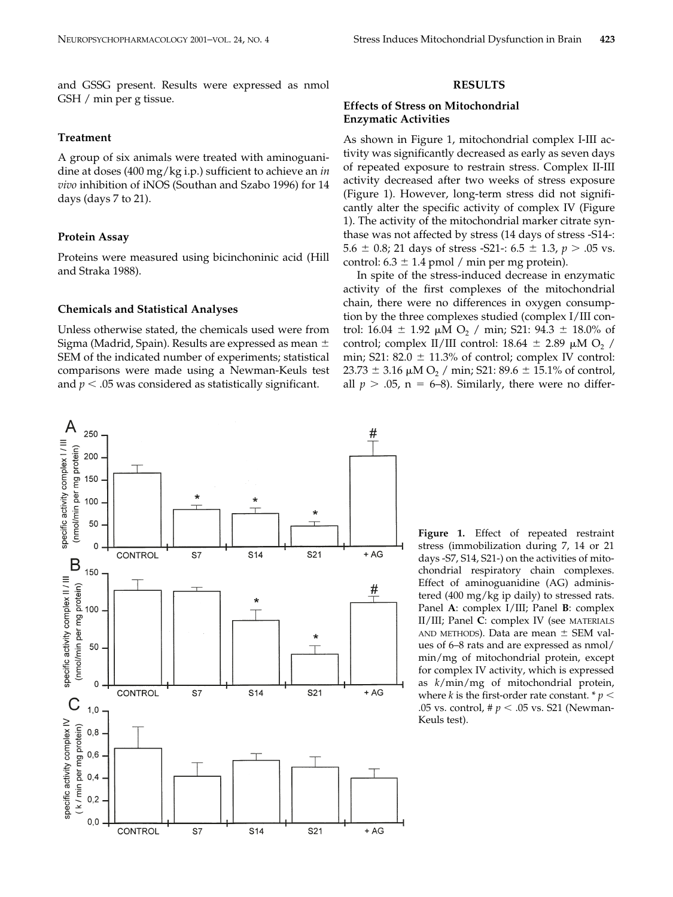and GSSG present. Results were expressed as nmol GSH / min per g tissue.

## **Treatment**

A group of six animals were treated with aminoguanidine at doses (400 mg/kg i.p.) sufficient to achieve an *in vivo* inhibition of iNOS (Southan and Szabo 1996) for 14 days (days 7 to 21).

#### **Protein Assay**

Proteins were measured using bicinchoninic acid (Hill and Straka 1988).

## **Chemicals and Statistical Analyses**

Unless otherwise stated, the chemicals used were from Sigma (Madrid, Spain). Results are expressed as mean  $\pm$ SEM of the indicated number of experiments; statistical comparisons were made using a Newman-Keuls test and  $p < .05$  was considered as statistically significant.



#### **RESULTS**

## **Effects of Stress on Mitochondrial Enzymatic Activities**

As shown in Figure 1, mitochondrial complex I-III activity was significantly decreased as early as seven days of repeated exposure to restrain stress. Complex II-III activity decreased after two weeks of stress exposure (Figure 1). However, long-term stress did not significantly alter the specific activity of complex IV (Figure 1). The activity of the mitochondrial marker citrate synthase was not affected by stress (14 days of stress -S14-: 5.6  $\pm$  0.8; 21 days of stress -S21-: 6.5  $\pm$  1.3, *p* > .05 vs. control:  $6.3 \pm 1.4$  pmol / min per mg protein).

In spite of the stress-induced decrease in enzymatic activity of the first complexes of the mitochondrial chain, there were no differences in oxygen consumption by the three complexes studied (complex I/III control: 16.04  $\pm$  1.92  $\mu$ M O<sub>2</sub> / min; S21: 94.3  $\pm$  18.0% of control; complex II/III control: 18.64  $\pm$  2.89  $\mu$ M O<sub>2</sub> / min; S21: 82.0  $\pm$  11.3% of control; complex IV control:  $23.73 \pm 3.16 \mu M O_2$  / min; S21: 89.6  $\pm$  15.1% of control, all  $p > .05$ ,  $n = 6-8$ ). Similarly, there were no differ-

> **Figure 1.** Effect of repeated restraint stress (immobilization during 7, 14 or 21 days -S7, S14, S21-) on the activities of mitochondrial respiratory chain complexes. Effect of aminoguanidine (AG) administered (400 mg/kg ip daily) to stressed rats. Panel **A**: complex I/III; Panel **B**: complex II/III; Panel **C**: complex IV (see MATERIALS AND METHODS). Data are mean  $\pm$  SEM values of 6–8 rats and are expressed as nmol/ min/mg of mitochondrial protein, except for complex IV activity, which is expressed as *k*/min/mg of mitochondrial protein, where *k* is the first-order rate constant.  $p <$ .05 vs. control,  $\sharp p < .05$  vs. S21 (Newman-Keuls test).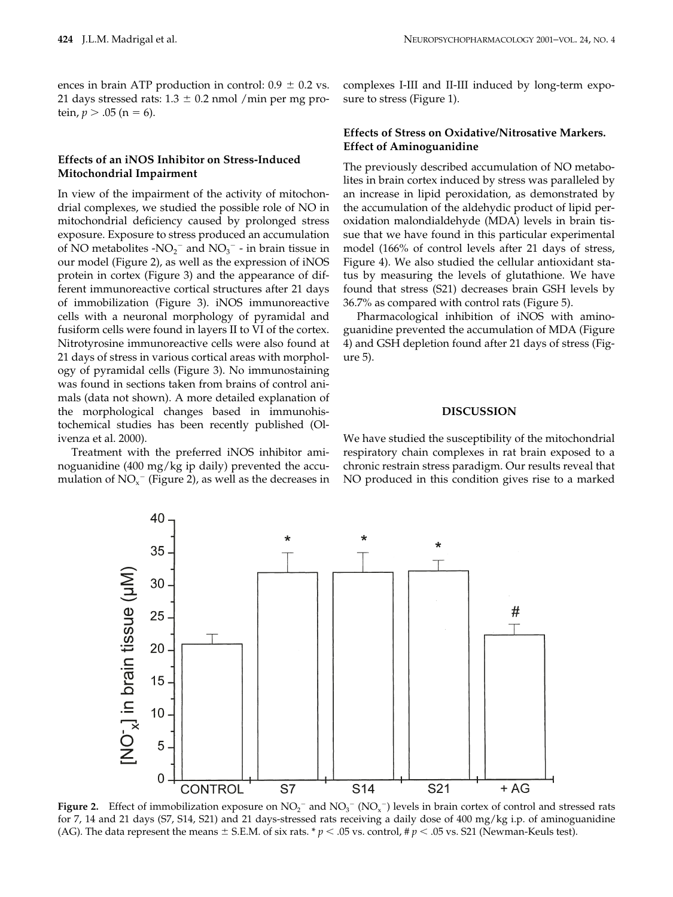ences in brain ATP production in control:  $0.9 \pm 0.2$  vs. 21 days stressed rats:  $1.3 \pm 0.2$  nmol /min per mg protein,  $p > .05$  (n = 6).

## **Effects of an iNOS Inhibitor on Stress-Induced Mitochondrial Impairment**

In view of the impairment of the activity of mitochondrial complexes, we studied the possible role of NO in mitochondrial deficiency caused by prolonged stress exposure. Exposure to stress produced an accumulation of NO metabolites - $NO_2^-$  and  $NO_3^-$  - in brain tissue in our model (Figure 2), as well as the expression of iNOS protein in cortex (Figure 3) and the appearance of different immunoreactive cortical structures after 21 days of immobilization (Figure 3). iNOS immunoreactive cells with a neuronal morphology of pyramidal and fusiform cells were found in layers II to VI of the cortex. Nitrotyrosine immunoreactive cells were also found at 21 days of stress in various cortical areas with morphology of pyramidal cells (Figure 3). No immunostaining was found in sections taken from brains of control animals (data not shown). A more detailed explanation of the morphological changes based in immunohistochemical studies has been recently published (Olivenza et al. 2000).

Treatment with the preferred iNOS inhibitor aminoguanidine (400 mg/kg ip daily) prevented the accumulation of  $NO_{x}^{-}$  (Figure 2), as well as the decreases in

complexes I-III and II-III induced by long-term exposure to stress (Figure 1).

# **Effects of Stress on Oxidative/Nitrosative Markers. Effect of Aminoguanidine**

The previously described accumulation of NO metabolites in brain cortex induced by stress was paralleled by an increase in lipid peroxidation, as demonstrated by the accumulation of the aldehydic product of lipid peroxidation malondialdehyde (MDA) levels in brain tissue that we have found in this particular experimental model (166% of control levels after 21 days of stress, Figure 4). We also studied the cellular antioxidant status by measuring the levels of glutathione. We have found that stress (S21) decreases brain GSH levels by 36.7% as compared with control rats (Figure 5).

Pharmacological inhibition of iNOS with aminoguanidine prevented the accumulation of MDA (Figure 4) and GSH depletion found after 21 days of stress (Figure 5).

## **DISCUSSION**

We have studied the susceptibility of the mitochondrial respiratory chain complexes in rat brain exposed to a chronic restrain stress paradigm. Our results reveal that NO produced in this condition gives rise to a marked



**Figure 2.** Effect of immobilization exposure on  $NO_2^-$  and  $NO_3^-$  ( $NO_x^-$ ) levels in brain cortex of control and stressed rats for 7, 14 and 21 days (S7, S14, S21) and 21 days-stressed rats receiving a daily dose of 400 mg/kg i.p. of aminoguanidine (AG). The data represent the means  $\pm$  S.E.M. of six rats. \*  $p < .05$  vs. control, #  $p < .05$  vs. S21 (Newman-Keuls test).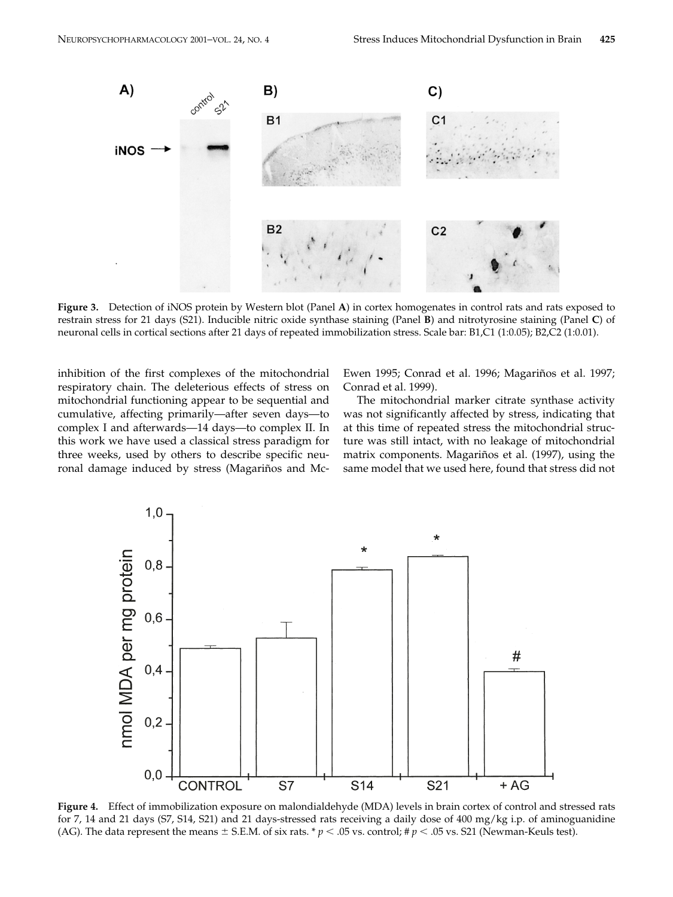

**Figure 3.** Detection of iNOS protein by Western blot (Panel **A**) in cortex homogenates in control rats and rats exposed to restrain stress for 21 days (S21). Inducible nitric oxide synthase staining (Panel **B**) and nitrotyrosine staining (Panel **C**) of neuronal cells in cortical sections after 21 days of repeated immobilization stress. Scale bar: B1,C1 (1:0.05); B2,C2 (1:0.01).

inhibition of the first complexes of the mitochondrial respiratory chain. The deleterious effects of stress on mitochondrial functioning appear to be sequential and cumulative, affecting primarily—after seven days—to complex I and afterwards—14 days—to complex II. In this work we have used a classical stress paradigm for three weeks, used by others to describe specific neuronal damage induced by stress (Magariños and Mc-

Ewen 1995; Conrad et al. 1996; Magariños et al. 1997; Conrad et al. 1999).

The mitochondrial marker citrate synthase activity was not significantly affected by stress, indicating that at this time of repeated stress the mitochondrial structure was still intact, with no leakage of mitochondrial matrix components. Magariños et al. (1997), using the same model that we used here, found that stress did not



**Figure 4.** Effect of immobilization exposure on malondialdehyde (MDA) levels in brain cortex of control and stressed rats for 7, 14 and 21 days (S7, S14, S21) and 21 days-stressed rats receiving a daily dose of 400 mg/kg i.p. of aminoguanidine (AG). The data represent the means  $\pm$  S.E.M. of six rats. \*  $p < .05$  vs. control; #  $p < .05$  vs. S21 (Newman-Keuls test).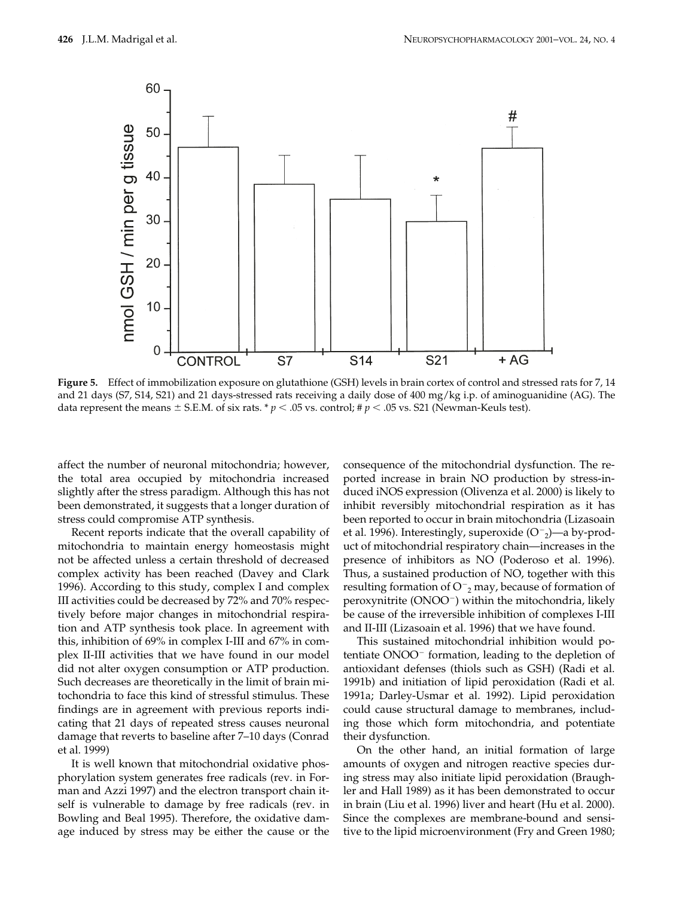

**Figure 5.** Effect of immobilization exposure on glutathione (GSH) levels in brain cortex of control and stressed rats for 7, 14 and 21 days (S7, S14, S21) and 21 days-stressed rats receiving a daily dose of 400 mg/kg i.p. of aminoguanidine (AG). The data represent the means  $\pm$  S.E.M. of six rats. \* *p* < .05 vs. control; # *p* < .05 vs. S21 (Newman-Keuls test).

affect the number of neuronal mitochondria; however, the total area occupied by mitochondria increased slightly after the stress paradigm. Although this has not been demonstrated, it suggests that a longer duration of stress could compromise ATP synthesis.

Recent reports indicate that the overall capability of mitochondria to maintain energy homeostasis might not be affected unless a certain threshold of decreased complex activity has been reached (Davey and Clark 1996). According to this study, complex I and complex III activities could be decreased by 72% and 70% respectively before major changes in mitochondrial respiration and ATP synthesis took place. In agreement with this, inhibition of 69% in complex I-III and 67% in complex II-III activities that we have found in our model did not alter oxygen consumption or ATP production. Such decreases are theoretically in the limit of brain mitochondria to face this kind of stressful stimulus. These findings are in agreement with previous reports indicating that 21 days of repeated stress causes neuronal damage that reverts to baseline after 7–10 days (Conrad et al. 1999)

It is well known that mitochondrial oxidative phosphorylation system generates free radicals (rev. in Forman and Azzi 1997) and the electron transport chain itself is vulnerable to damage by free radicals (rev. in Bowling and Beal 1995). Therefore, the oxidative damage induced by stress may be either the cause or the consequence of the mitochondrial dysfunction. The reported increase in brain NO production by stress-induced iNOS expression (Olivenza et al. 2000) is likely to inhibit reversibly mitochondrial respiration as it has been reported to occur in brain mitochondria (Lizasoain et al. 1996). Interestingly, superoxide  $(O<sup>-2</sup>)$ —a by-product of mitochondrial respiratory chain—increases in the presence of inhibitors as NO (Poderoso et al. 1996). Thus, a sustained production of NO, together with this resulting formation of  $\mathsf{O}^+$ <sub>2</sub> may, because of formation of  $peroxynitive (ONOO^-)$  within the mitochondria, likely be cause of the irreversible inhibition of complexes I-III and II-III (Lizasoain et al. 1996) that we have found.

This sustained mitochondrial inhibition would potentiate  $ONOO^-$  formation, leading to the depletion of antioxidant defenses (thiols such as GSH) (Radi et al. 1991b) and initiation of lipid peroxidation (Radi et al. 1991a; Darley-Usmar et al. 1992). Lipid peroxidation could cause structural damage to membranes, including those which form mitochondria, and potentiate their dysfunction.

On the other hand, an initial formation of large amounts of oxygen and nitrogen reactive species during stress may also initiate lipid peroxidation (Braughler and Hall 1989) as it has been demonstrated to occur in brain (Liu et al. 1996) liver and heart (Hu et al. 2000). Since the complexes are membrane-bound and sensitive to the lipid microenvironment (Fry and Green 1980;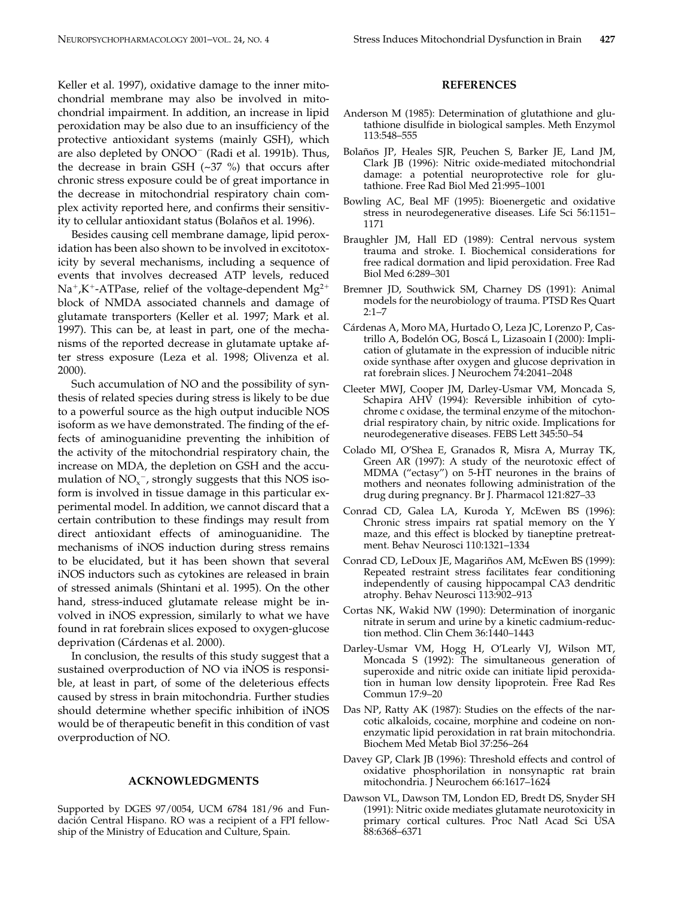Keller et al. 1997), oxidative damage to the inner mitochondrial membrane may also be involved in mitochondrial impairment. In addition, an increase in lipid peroxidation may be also due to an insufficiency of the protective antioxidant systems (mainly GSH), which are also depleted by ONOO<sup>-</sup> (Radi et al. 1991b). Thus, the decrease in brain GSH  $(\sim 37 \%)$  that occurs after chronic stress exposure could be of great importance in the decrease in mitochondrial respiratory chain complex activity reported here, and confirms their sensitivity to cellular antioxidant status (Bolaños et al. 1996).

Besides causing cell membrane damage, lipid peroxidation has been also shown to be involved in excitotoxicity by several mechanisms, including a sequence of events that involves decreased ATP levels, reduced  $Na^+$ ,K<sup>+</sup>-ATPase, relief of the voltage-dependent Mg<sup>2+</sup> block of NMDA associated channels and damage of glutamate transporters (Keller et al. 1997; Mark et al. 1997). This can be, at least in part, one of the mechanisms of the reported decrease in glutamate uptake after stress exposure (Leza et al. 1998; Olivenza et al. 2000).

Such accumulation of NO and the possibility of synthesis of related species during stress is likely to be due to a powerful source as the high output inducible NOS isoform as we have demonstrated. The finding of the effects of aminoguanidine preventing the inhibition of the activity of the mitochondrial respiratory chain, the increase on MDA, the depletion on GSH and the accumulation of  $NO<sub>x</sub><sup>-</sup>$ , strongly suggests that this NOS isoform is involved in tissue damage in this particular experimental model. In addition, we cannot discard that a certain contribution to these findings may result from direct antioxidant effects of aminoguanidine. The mechanisms of iNOS induction during stress remains to be elucidated, but it has been shown that several iNOS inductors such as cytokines are released in brain of stressed animals (Shintani et al. 1995). On the other hand, stress-induced glutamate release might be involved in iNOS expression, similarly to what we have found in rat forebrain slices exposed to oxygen-glucose deprivation (Cárdenas et al. 2000).

In conclusion, the results of this study suggest that a sustained overproduction of NO via iNOS is responsible, at least in part, of some of the deleterious effects caused by stress in brain mitochondria. Further studies should determine whether specific inhibition of iNOS would be of therapeutic benefit in this condition of vast overproduction of NO.

### **ACKNOWLEDGMENTS**

Supported by DGES 97/0054, UCM 6784 181/96 and Fundación Central Hispano. RO was a recipient of a FPI fellowship of the Ministry of Education and Culture, Spain.

#### **REFERENCES**

- Anderson M (1985): Determination of glutathione and glutathione disulfide in biological samples. Meth Enzymol 113:548–555
- Bolaños JP, Heales SJR, Peuchen S, Barker JE, Land JM, Clark JB (1996): Nitric oxide-mediated mitochondrial damage: a potential neuroprotective role for glutathione. Free Rad Biol Med 21:995–1001
- Bowling AC, Beal MF (1995): Bioenergetic and oxidative stress in neurodegenerative diseases. Life Sci 56:1151– 1171
- Braughler JM, Hall ED (1989): Central nervous system trauma and stroke. I. Biochemical considerations for free radical dormation and lipid peroxidation. Free Rad Biol Med 6:289–301
- Bremner JD, Southwick SM, Charney DS (1991): Animal models for the neurobiology of trauma. PTSD Res Quart  $2:1 - 7$
- Cárdenas A, Moro MA, Hurtado O, Leza JC, Lorenzo P, Castrillo A, Bodelón OG, Boscá L, Lizasoain I (2000): Implication of glutamate in the expression of inducible nitric oxide synthase after oxygen and glucose deprivation in rat forebrain slices. J Neurochem 74:2041–2048
- Cleeter MWJ, Cooper JM, Darley-Usmar VM, Moncada S, Schapira AHV (1994): Reversible inhibition of cytochrome c oxidase, the terminal enzyme of the mitochondrial respiratory chain, by nitric oxide. Implications for neurodegenerative diseases. FEBS Lett 345:50–54
- Colado MI, O'Shea E, Granados R, Misra A, Murray TK, Green AR (1997): A study of the neurotoxic effect of MDMA ("ectasy") on 5-HT neurones in the brains of mothers and neonates following administration of the drug during pregnancy. Br J. Pharmacol 121:827–33
- Conrad CD, Galea LA, Kuroda Y, McEwen BS (1996): Chronic stress impairs rat spatial memory on the Y maze, and this effect is blocked by tianeptine pretreatment. Behav Neurosci 110:1321–1334
- Conrad CD, LeDoux JE, Magariños AM, McEwen BS (1999): Repeated restraint stress facilitates fear conditioning independently of causing hippocampal CA3 dendritic atrophy. Behav Neurosci 113:902–913
- Cortas NK, Wakid NW (1990): Determination of inorganic nitrate in serum and urine by a kinetic cadmium-reduction method. Clin Chem 36:1440–1443
- Darley-Usmar VM, Hogg H, O'Learly VJ, Wilson MT, Moncada S (1992): The simultaneous generation of superoxide and nitric oxide can initiate lipid peroxidation in human low density lipoprotein. Free Rad Res Commun 17:9–20
- Das NP, Ratty AK (1987): Studies on the effects of the narcotic alkaloids, cocaine, morphine and codeine on nonenzymatic lipid peroxidation in rat brain mitochondria. Biochem Med Metab Biol 37:256–264
- Davey GP, Clark JB (1996): Threshold effects and control of oxidative phosphorilation in nonsynaptic rat brain mitochondria. J Neurochem 66:1617–1624
- Dawson VL, Dawson TM, London ED, Bredt DS, Snyder SH (1991): Nitric oxide mediates glutamate neurotoxicity in primary cortical cultures. Proc Natl Acad Sci USA 88:6368–6371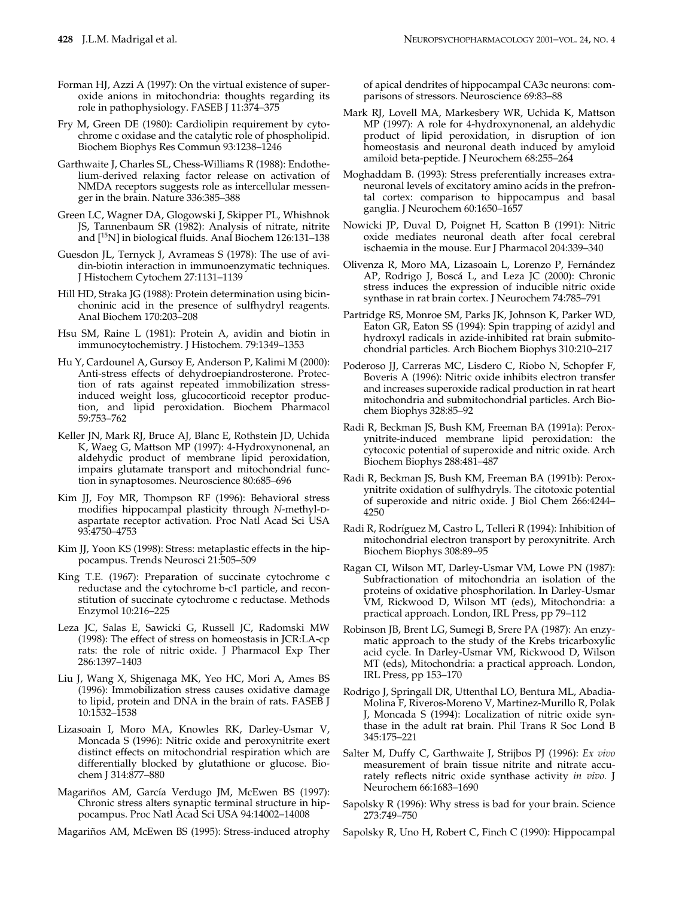- Forman HJ, Azzi A (1997): On the virtual existence of superoxide anions in mitochondria: thoughts regarding its role in pathophysiology. FASEB J 11:374–375
- Fry M, Green DE (1980): Cardiolipin requirement by cytochrome c oxidase and the catalytic role of phospholipid. Biochem Biophys Res Commun 93:1238–1246
- Garthwaite J, Charles SL, Chess-Williams R (1988): Endothelium-derived relaxing factor release on activation of NMDA receptors suggests role as intercellular messenger in the brain. Nature 336:385–388
- Green LC, Wagner DA, Glogowski J, Skipper PL, Whishnok JS, Tannenbaum SR (1982): Analysis of nitrate, nitrite and [15N] in biological fluids. Anal Biochem 126:131–138
- Guesdon JL, Ternyck J, Avrameas S (1978): The use of avidin-biotin interaction in immunoenzymatic techniques. J Histochem Cytochem 27:1131–1139
- Hill HD, Straka JG (1988): Protein determination using bicinchoninic acid in the presence of sulfhydryl reagents. Anal Biochem 170:203–208
- Hsu SM, Raine L (1981): Protein A, avidin and biotin in immunocytochemistry. J Histochem. 79:1349–1353
- Hu Y, Cardounel A, Gursoy E, Anderson P, Kalimi M (2000): Anti-stress effects of dehydroepiandrosterone. Protection of rats against repeated immobilization stressinduced weight loss, glucocorticoid receptor production, and lipid peroxidation. Biochem Pharmacol 59:753–762
- Keller JN, Mark RJ, Bruce AJ, Blanc E, Rothstein JD, Uchida K, Waeg G, Mattson MP (1997): 4-Hydroxynonenal, an aldehydic product of membrane lipid peroxidation, impairs glutamate transport and mitochondrial function in synaptosomes. Neuroscience 80:685–696
- Kim JJ, Foy MR, Thompson RF (1996): Behavioral stress modifies hippocampal plasticity through *N*-methyl-Daspartate receptor activation. Proc Natl Acad Sci USA 93:4750–4753
- Kim JJ, Yoon KS (1998): Stress: metaplastic effects in the hippocampus. Trends Neurosci 21:505–509
- King T.E. (1967): Preparation of succinate cytochrome c reductase and the cytochrome b-c1 particle, and reconstitution of succinate cytochrome c reductase. Methods Enzymol 10:216–225
- Leza JC, Salas E, Sawicki G, Russell JC, Radomski MW (1998): The effect of stress on homeostasis in JCR:LA-cp rats: the role of nitric oxide. J Pharmacol Exp Ther 286:1397–1403
- Liu J, Wang X, Shigenaga MK, Yeo HC, Mori A, Ames BS (1996): Immobilization stress causes oxidative damage to lipid, protein and DNA in the brain of rats. FASEB J 10:1532–1538
- Lizasoain I, Moro MA, Knowles RK, Darley-Usmar V, Moncada S (1996): Nitric oxide and peroxynitrite exert distinct effects on mitochondrial respiration which are differentially blocked by glutathione or glucose. Biochem J 314:877–880
- Magariños AM, García Verdugo JM, McEwen BS (1997): Chronic stress alters synaptic terminal structure in hippocampus. Proc Natl Acad Sci USA 94:14002–14008

Magariños AM, McEwen BS (1995): Stress-induced atrophy

of apical dendrites of hippocampal CA3c neurons: comparisons of stressors. Neuroscience 69:83–88

- Mark RJ, Lovell MA, Markesbery WR, Uchida K, Mattson MP (1997): A role for 4-hydroxynonenal, an aldehydic product of lipid peroxidation, in disruption of ion homeostasis and neuronal death induced by amyloid amiloid beta-peptide. J Neurochem 68:255–264
- Moghaddam B. (1993): Stress preferentially increases extraneuronal levels of excitatory amino acids in the prefrontal cortex: comparison to hippocampus and basal ganglia. J Neurochem 60:1650–1657
- Nowicki JP, Duval D, Poignet H, Scatton B (1991): Nitric oxide mediates neuronal death after focal cerebral ischaemia in the mouse. Eur J Pharmacol 204:339–340
- Olivenza R, Moro MA, Lizasoain L, Lorenzo P, Fernández AP, Rodrigo J, Boscá L, and Leza JC (2000): Chronic stress induces the expression of inducible nitric oxide synthase in rat brain cortex. J Neurochem 74:785–791
- Partridge RS, Monroe SM, Parks JK, Johnson K, Parker WD, Eaton GR, Eaton SS (1994): Spin trapping of azidyl and hydroxyl radicals in azide-inhibited rat brain submitochondrial particles. Arch Biochem Biophys 310:210–217
- Poderoso JJ, Carreras MC, Lisdero C, Riobo N, Schopfer F, Boveris A (1996): Nitric oxide inhibits electron transfer and increases superoxide radical production in rat heart mitochondria and submitochondrial particles. Arch Biochem Biophys 328:85–92
- Radi R, Beckman JS, Bush KM, Freeman BA (1991a): Peroxynitrite-induced membrane lipid peroxidation: the cytocoxic potential of superoxide and nitric oxide. Arch Biochem Biophys 288:481–487
- Radi R, Beckman JS, Bush KM, Freeman BA (1991b): Peroxynitrite oxidation of sulfhydryls. The citotoxic potential of superoxide and nitric oxide. J Biol Chem 266:4244– 4250
- Radi R, Rodríguez M, Castro L, Telleri R (1994): Inhibition of mitochondrial electron transport by peroxynitrite. Arch Biochem Biophys 308:89–95
- Ragan CI, Wilson MT, Darley-Usmar VM, Lowe PN (1987): Subfractionation of mitochondria an isolation of the proteins of oxidative phosphorilation. In Darley-Usmar VM, Rickwood D, Wilson MT (eds), Mitochondria: a practical approach. London, IRL Press, pp 79–112
- Robinson JB, Brent LG, Sumegi B, Srere PA (1987): An enzymatic approach to the study of the Krebs tricarboxylic acid cycle. In Darley-Usmar VM, Rickwood D, Wilson MT (eds), Mitochondria: a practical approach. London, IRL Press, pp 153–170
- Rodrigo J, Springall DR, Uttenthal LO, Bentura ML, Abadia-Molina F, Riveros-Moreno V, Martinez-Murillo R, Polak J, Moncada S (1994): Localization of nitric oxide synthase in the adult rat brain. Phil Trans R Soc Lond B 345:175–221
- Salter M, Duffy C, Garthwaite J, Strijbos PJ (1996): *Ex vivo* measurement of brain tissue nitrite and nitrate accurately reflects nitric oxide synthase activity *in vivo.* J Neurochem 66:1683–1690
- Sapolsky R (1996): Why stress is bad for your brain. Science 273:749–750
- Sapolsky R, Uno H, Robert C, Finch C (1990): Hippocampal